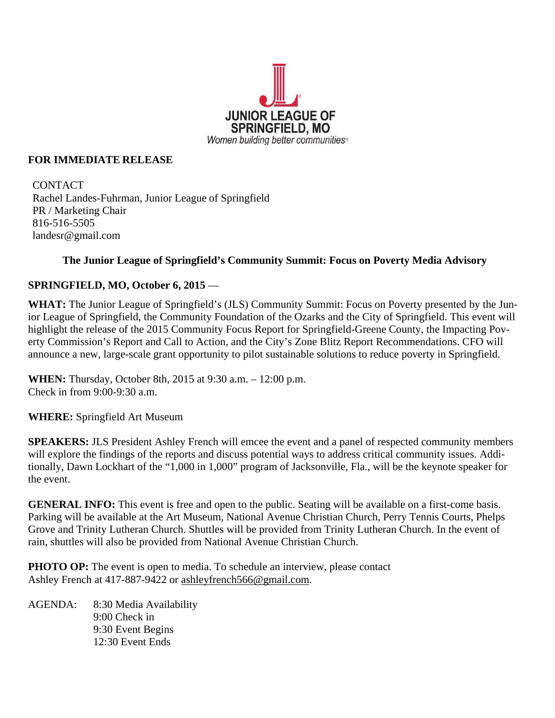

#### **FOR IMMEDIATE RELEASE**

**CONTACT** Rachel Landes-Fuhrman, Junior League of Springfield PR / Marketing Chair 816-516-5505 landesr@gmail.com

## **The Junior League of Springfield's Community Summit: Focus on Poverty Media Advisory**

## **SPRINGFIELD, MO, October 6, 2015** —

**WHAT:** The Junior League of Springfield's (JLS) Community Summit: Focus on Poverty presented by the Junior League of Springfield, the Community Foundation of the Ozarks and the City of Springfield. This event will highlight the release of the 2015 Community Focus Report for Springfield-Greene County, the Impacting Poverty Commission's Report and Call to Action, and the City's Zone Blitz Report Recommendations. CFO will announce a new, large-scale grant opportunity to pilot sustainable solutions to reduce poverty in Springfield.

**WHEN:** Thursday, October 8th, 2015 at 9:30 a.m. – 12:00 p.m. Check in from 9:00-9:30 a.m.

**WHERE:** Springfield Art Museum

**SPEAKERS:** JLS President Ashley French will emcee the event and a panel of respected community members will explore the findings of the reports and discuss potential ways to address critical community issues. Additionally, Dawn Lockhart of the "1,000 in 1,000" program of Jacksonville, Fla., will be the keynote speaker for the event.

**GENERAL INFO:** This event is free and open to the public. Seating will be available on a first-come basis. Parking will be available at the Art Museum, National Avenue Christian Church, Perry Tennis Courts, Phelps Grove and Trinity Lutheran Church. Shuttles will be provided from Trinity Lutheran Church. In the event of rain, shuttles will also be provided from National Avenue Christian Church.

**PHOTO OP:** The event is open to media. To schedule an interview, please contact Ashley French at 417-887-9422 or ashleyfrench566@gmail.com.

AGENDA: 8:30 Media Availability 9:00 Check in 9:30 Event Begins 12:30 Event Ends